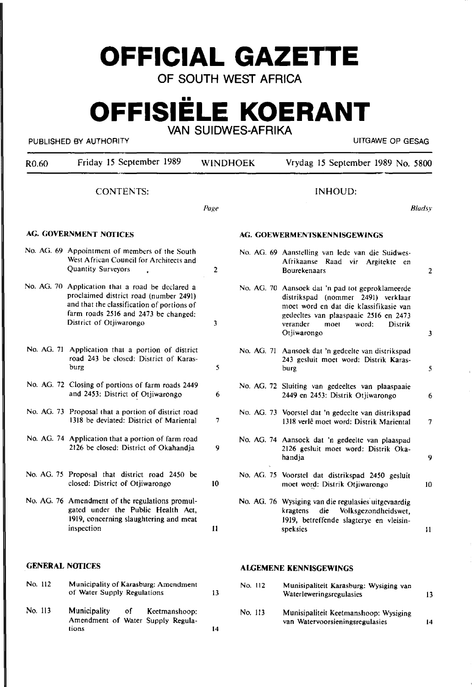# **OFFICIAL GAZETTE**

OF SOUTH WEST AFRICA

## **OFFISIELE KOERANT**  VAN SUIDWES-AFRIKA

#### PUBLISHED BY AUTHORITY UITGAWE OP GESAG

| R <sub>0.60</sub>      | Friday 15 September 1989                                                                                                                                                                                    | <b>WINDHOEK</b> |         | Vrydag 15 September 1989 No. 5800                                                                                                                                                                                                       |               |  |
|------------------------|-------------------------------------------------------------------------------------------------------------------------------------------------------------------------------------------------------------|-----------------|---------|-----------------------------------------------------------------------------------------------------------------------------------------------------------------------------------------------------------------------------------------|---------------|--|
| <b>CONTENTS:</b>       |                                                                                                                                                                                                             | INHOUD:         |         |                                                                                                                                                                                                                                         |               |  |
|                        |                                                                                                                                                                                                             | Page            |         |                                                                                                                                                                                                                                         | <b>Bladsy</b> |  |
|                        | <b>AG. GOVERNMENT NOTICES</b>                                                                                                                                                                               |                 |         | AG. GOEWERMENTSKENNISGEWINGS                                                                                                                                                                                                            |               |  |
|                        | No. AG. 69 Appointment of members of the South<br>West African Council for Architects and<br>Quantity Surveyors                                                                                             | 2               |         | No. AG. 69 Aanstelling van lede van die Suidwes-<br>Afrikaanse Raad vir Argitekte en<br>Bourekenaars                                                                                                                                    | 2             |  |
|                        | No. AG. 70 Application that a road be declared a<br>proclaimed district road (number 2491)<br>and that the classification of portions of<br>farm roads 2516 and 2473 be changed:<br>District of Otjiwarongo | 3               |         | No. AG. 70 Aansoek dat 'n pad tot geproklameerde<br>distrikspad (nommer 2491) verklaar<br>moet word en dat die klassifikasie van<br>gedeeltes van plaaspaaie 2516 en 2473<br>verander<br>word:<br>moet<br><b>Distrik</b><br>Otjiwarongo | 3             |  |
|                        | No. AG. 71 Application that a portion of district<br>road 243 be closed: District of Karas-<br>burg                                                                                                         | 5               |         | No. AG. 71 Aansoek dat 'n gedeelte van distrikspad<br>243 gesluit moet word: Distrik Karas-<br>burg                                                                                                                                     | 5             |  |
|                        | No. AG. 72 Closing of portions of farm roads 2449<br>and 2453: District of Otjiwarongo                                                                                                                      | 6               |         | No. AG. 72 Sluiting van gedeeltes van plaaspaaie<br>2449 en 2453: Distrik Otjiwarongo                                                                                                                                                   | 6             |  |
|                        | No. AG. 73 Proposal that a portion of district road<br>1318 be deviated: District of Mariental                                                                                                              | 7               |         | No. AG. 73 Voorstel dat 'n gedeelte van distrikspad<br>1318 verlê moet word: Distrik Mariental                                                                                                                                          | 7             |  |
|                        | No. AG. 74 Application that a portion of farm road<br>2126 be closed: District of Okahandja                                                                                                                 | 9               |         | No. AG. 74 Aansoek dat 'n gedeelte van plaaspad<br>2126 gesluit moet word: Distrik Oka-<br>handja                                                                                                                                       | 9             |  |
|                        | No. AG. 75 Proposal that district road 2450 be<br>closed: District of Otjiwarongo                                                                                                                           | 10 <sup>°</sup> |         | No. AG. 75 Voorstel dat distrikspad 2450 gesluit<br>moet word: Distrik Otjiwarongo                                                                                                                                                      | 10            |  |
|                        | No. AG. 76 Amendment of the regulations promul-<br>gated under the Public Health Act,<br>1919, concerning slaughtering and meat<br>inspection                                                               | $\mathbf{11}$   |         | No. AG. 76 Wysiging van die regulasies uitgevaardig<br>Volksgezondheidswet,<br>kragtens<br>die<br>1919, betreffende slagterye en vleisin-<br>speksies                                                                                   | $\mathbf{11}$ |  |
| <b>GENERAL NOTICES</b> |                                                                                                                                                                                                             |                 |         | <b>ALGEMENE KENNISGEWINGS</b>                                                                                                                                                                                                           |               |  |
| No. 112                | Municipality of Karasburg: Amendment<br>of Water Supply Regulations                                                                                                                                         | 13              | No. 112 | Munisipaliteit Karasburg: Wysiging van<br>Waterleweringsregulasies                                                                                                                                                                      | 13            |  |

No. 113 Municipality of Keetmanshoop: Amendment of Water Supply Regulations 14

#### No. 113 Munisipaliteit Keetmanshoop: Wysiging van Watervoorsieningsregulasies

14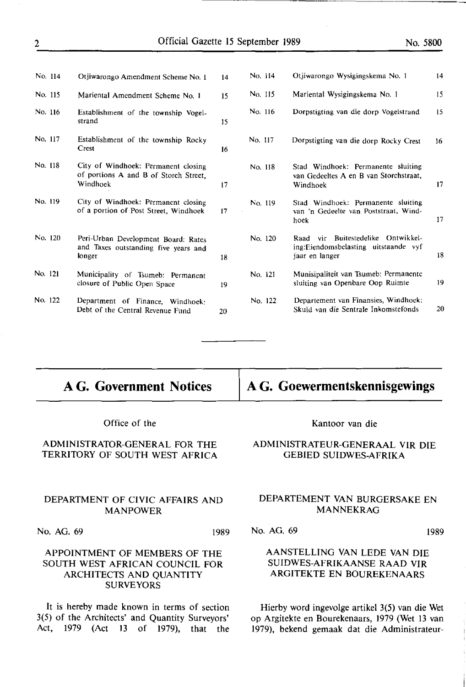| No. 114 | Otjiwarongo Amendment Scheme No. 1                                                       | 14 | No. 114 | Otjiwarongo Wysigingskema No. 1                                                              | 14 |
|---------|------------------------------------------------------------------------------------------|----|---------|----------------------------------------------------------------------------------------------|----|
| No. 115 | Mariental Amendment Scheme No. 1                                                         | 15 | No. 115 | Mariental Wysigingskema No. 1                                                                | 15 |
| No. 116 | Establishment of the township Vogel-<br>strand                                           | 15 | No. 116 | Dorpstigting van die dorp Vogelstrand                                                        | 15 |
| No. 117 | Establishment of the township Rocky<br>Crest                                             | 16 | No. 117 | Dorpstigting van die dorp Rocky Crest                                                        | 16 |
| No. 118 | City of Windhoek: Permanent closing<br>of portions A and B of Storch Street,<br>Windhoek | 17 | No. 118 | Stad Windhoek: Permanente sluiting<br>van Gedeeltes A en B van Storchstraat,<br>Windhoek     | 17 |
| No. 119 | City of Windhoek: Permanent closing<br>of a portion of Post Street, Windhoek             | 17 | No. 119 | Stad Windhoek: Permanente sluiting<br>van 'n Gedeelte van Poststraat, Wind-<br>hoek          | 17 |
| No. 120 | Peri-Urban Development Board: Rates<br>and Taxes outstanding five years and<br>longer    | 18 | No. 120 | Raad vir Buitestedelike Ontwikkel-<br>ing:Eiendomsbelasting uitstaande vyf<br>jaar en langer | 18 |
| No. 121 | Municipality of Tsumeb: Permanent<br>closure of Public Open Space                        | 19 | No. 121 | Munisipaliteit van Tsumeb: Permanente<br>sluiting van Openbare Oop Ruimte                    | 19 |
| No. 122 | Department of Finance, Windhoek:<br>Debt of the Central Revenue Fund                     | 20 | No. 122 | Departement van Finansies, Windhoek:<br>Skuld van die Sentrale Inkomstefonds                 | 20 |

### **AG. Government Notices**

Office of the

#### ADMINISTRATOR-GENERAL FOR THE TERRITORY OF SOUTH WEST AFRICA

#### DEPARTMENT OF CIVIC AFFAIRS AND MANPOWER

No. AG. 69 1989

#### APPOINTMENT OF MEMBERS OF THE SOUTH WEST AFRICAN COUNCIL FOR ARCHITECTS AND QUANTITY SURVEYORS

It is hereby made known in terms of section 3(5) of the Architects' and Quantity Surveyors' Act, 1979 (Act 13 of 1979), that the

#### Kantoor van die

**AG. Goewermentskennisgewings** 

#### ADMINISTRATEUR-GENERAAL VIR DIE GEBIED SUIDWES-AFRIKA

#### DEPARTEMENT VAN BURGERSAKE EN **MANNEKRAG**

No. AG. 69 1989

#### AANSTELLING VAN LEDE VAN DIE SUIDWES-AFRIKAANSE RAAD VIR ARGITEKTE EN BOUREKENAARS

Hierby word ingevolge artikel 3(5) van die Wet op Argitekte en Bourekenaars, 1979 (Wet 13 van 1979), bekend gemaak dat die Administrateur